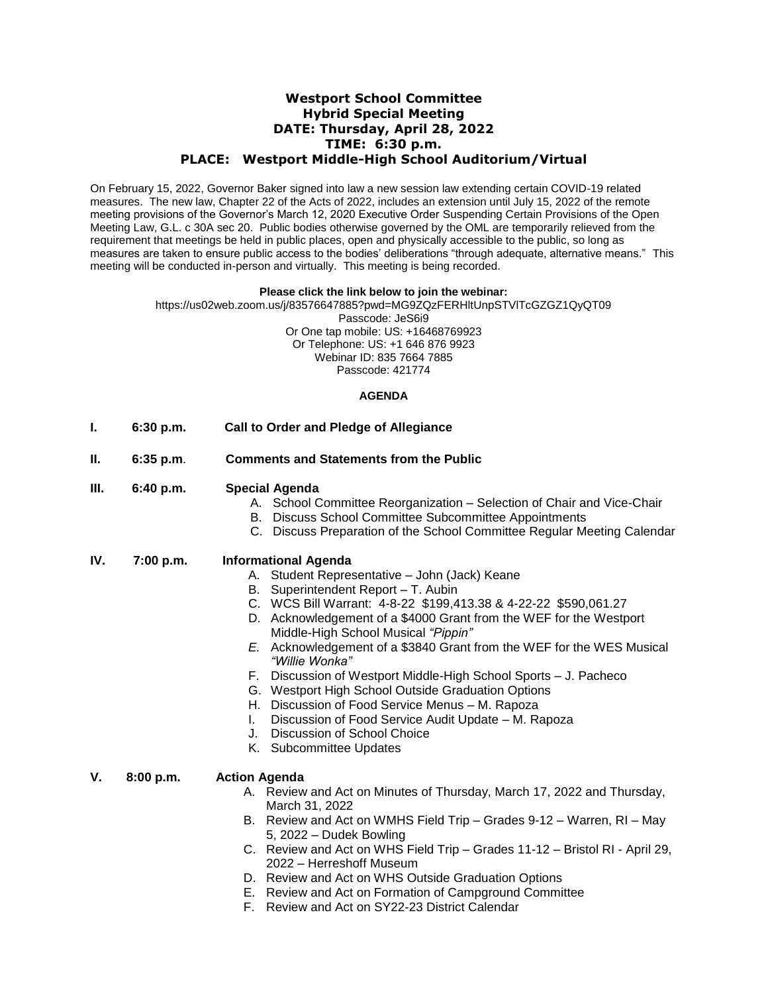# **Westport School Committee Hybrid Special Meeting DATE: Thursday, April 28, 2022 TIME: 6:30 p.m. PLACE: Westport Middle-High School Auditorium/Virtual**

On February 15, 2022, Governor Baker signed into law a new session law extending certain COVID-19 related measures. The new law, Chapter 22 of the Acts of 2022, includes an extension until July 15, 2022 of the remote meeting provisions of the Governor's March 12, 2020 Executive Order Suspending Certain Provisions of the Open Meeting Law, G.L. c 30A sec 20. Public bodies otherwise governed by the OML are temporarily relieved from the requirement that meetings be held in public places, open and physically accessible to the public, so long as measures are taken to ensure public access to the bodies' deliberations "through adequate, alternative means." This meeting will be conducted in-person and virtually. This meeting is being recorded.

#### **Please click the link below to join the webinar:**

https://us02web.zoom.us/j/83576647885?pwd=MG9ZQzFERHltUnpSTVlTcGZGZ1QyQT09 Passcode: JeS6i9 Or One tap mobile: US: +16468769923 Or Telephone: US: +1 646 876 9923 Webinar ID: 835 7664 7885 Passcode: 421774

## **AGENDA**

- **I. 6:30 p.m. Call to Order and Pledge of Allegiance**
- **II. 6:35 p.m**. **Comments and Statements from the Public**
- **III. 6:40 p.m. Special Agenda**
	- A. School Committee Reorganization Selection of Chair and Vice-Chair
	- B. Discuss School Committee Subcommittee Appointments
	- C. Discuss Preparation of the School Committee Regular Meeting Calendar
- **IV. 7:00 p.m. Informational Agenda**
	- A. Student Representative John (Jack) Keane
	- B. Superintendent Report T. Aubin
	- C. WCS Bill Warrant: 4-8-22 \$199,413.38 & 4-22-22 \$590,061.27
	- D. Acknowledgement of a \$4000 Grant from the WEF for the Westport Middle-High School Musical *"Pippin"*
	- *E.* Acknowledgement of a \$3840 Grant from the WEF for the WES Musical *"Willie Wonka"*
	- F. Discussion of Westport Middle-High School Sports J. Pacheco
	- G. Westport High School Outside Graduation Options
	- H. Discussion of Food Service Menus M. Rapoza
	- I. Discussion of Food Service Audit Update M. Rapoza
	- J. Discussion of School Choice
	- K. Subcommittee Updates

#### **V. 8:00 p.m. Action Agenda**

- A. Review and Act on Minutes of Thursday, March 17, 2022 and Thursday, March 31, 2022
- B. Review and Act on WMHS Field Trip Grades 9-12 Warren, RI May 5, 2022 – Dudek Bowling
- C. Review and Act on WHS Field Trip Grades 11-12 Bristol RI April 29, 2022 – Herreshoff Museum
- D. Review and Act on WHS Outside Graduation Options
- E. Review and Act on Formation of Campground Committee
- F. Review and Act on SY22-23 District Calendar